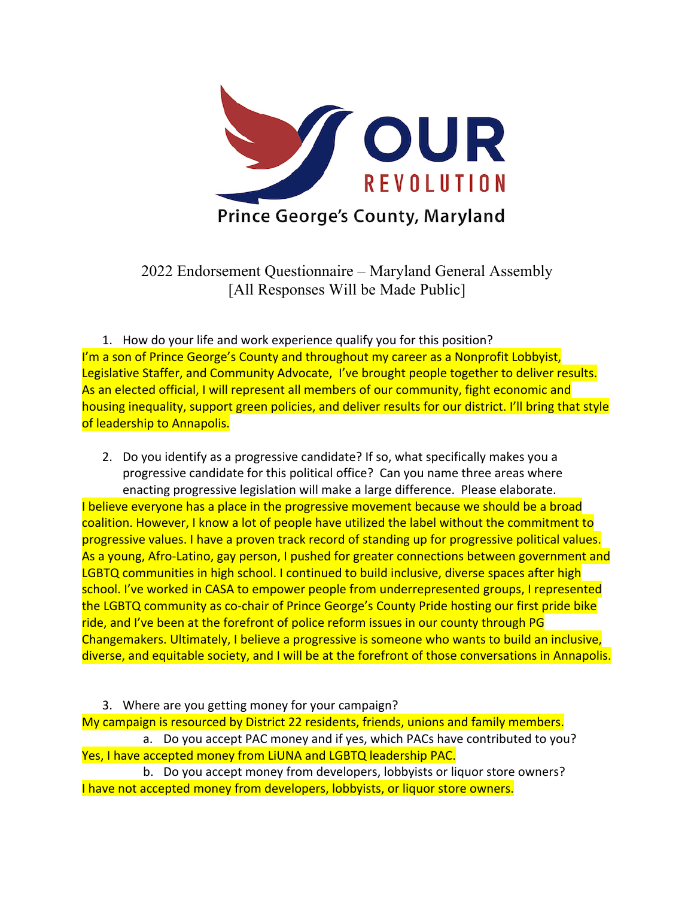

2022 Endorsement Questionnaire – Maryland General Assembly [All Responses Will be Made Public]

1. How do your life and work experience qualify you for this position? I'm a son of Prince George's County and throughout my career as a Nonprofit Lobbyist, Legislative Staffer, and Community Advocate, I've brought people together to deliver results. As an elected official, I will represent all members of our community, fight economic and housing inequality, support green policies, and deliver results for our district. I'll bring that style of leadership to Annapolis.

- 2. Do you identify as a progressive candidate? If so, what specifically makes you a progressive candidate for this political office? Can you name three areas where enacting progressive legislation will make a large difference. Please elaborate. I believe everyone has a place in the progressive movement because we should be a broad coalition. However, I know a lot of people have utilized the label without the commitment to progressive values. I have a proven track record of standing up for progressive political values. As a young, Afro-Latino, gay person, I pushed for greater connections between government and LGBTQ communities in high school. I continued to build inclusive, diverse spaces after high school. I've worked in CASA to empower people from underrepresented groups, I represented the LGBTQ community as co-chair of Prince George's County Pride hosting our first pride bike ride, and I've been at the forefront of police reform issues in our county through PG Changemakers. Ultimately, I believe a progressive is someone who wants to build an inclusive, diverse, and equitable society, and I will be at the forefront of those conversations in Annapolis.
- 3. Where are you getting money for your campaign? My campaign is resourced by District 22 residents, friends, unions and family members. a. Do you accept PAC money and if yes, which PACs have contributed to you? Yes, I have accepted money from LiUNA and LGBTQ leadership PAC. b. Do you accept money from developers, lobbyists or liquor store owners?
- I have not accepted money from developers, lobbyists, or liquor store owners.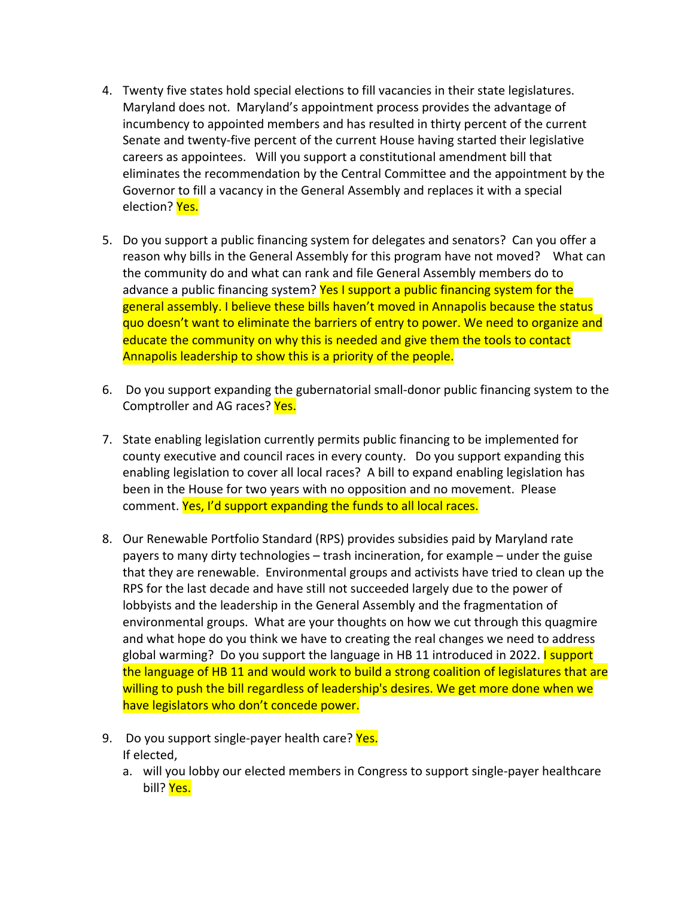- 4. Twenty five states hold special elections to fill vacancies in their state legislatures. Maryland does not. Maryland's appointment process provides the advantage of incumbency to appointed members and has resulted in thirty percent of the current Senate and twenty-five percent of the current House having started their legislative careers as appointees. Will you support a constitutional amendment bill that eliminates the recommendation by the Central Committee and the appointment by the Governor to fill a vacancy in the General Assembly and replaces it with a special election? Yes.
- 5. Do you support a public financing system for delegates and senators? Can you offer a reason why bills in the General Assembly for this program have not moved? What can the community do and what can rank and file General Assembly members do to advance a public financing system? Yes I support a public financing system for the general assembly. I believe these bills haven't moved in Annapolis because the status quo doesn't want to eliminate the barriers of entry to power. We need to organize and educate the community on why this is needed and give them the tools to contact Annapolis leadership to show this is a priority of the people.
- 6. Do you support expanding the gubernatorial small-donor public financing system to the Comptroller and AG races? Yes.
- 7. State enabling legislation currently permits public financing to be implemented for county executive and council races in every county. Do you support expanding this enabling legislation to cover all local races? A bill to expand enabling legislation has been in the House for two years with no opposition and no movement. Please comment. Yes, I'd support expanding the funds to all local races.
- 8. Our Renewable Portfolio Standard (RPS) provides subsidies paid by Maryland rate payers to many dirty technologies – trash incineration, for example – under the guise that they are renewable. Environmental groups and activists have tried to clean up the RPS for the last decade and have still not succeeded largely due to the power of lobbyists and the leadership in the General Assembly and the fragmentation of environmental groups. What are your thoughts on how we cut through this quagmire and what hope do you think we have to creating the real changes we need to address global warming? Do you support the language in HB 11 introduced in 2022. I support the language of HB 11 and would work to build a strong coalition of legislatures that are willing to push the bill regardless of leadership's desires. We get more done when we have legislators who don't concede power.
- 9. Do you support single-payer health care? Yes. If elected,
	- a. will you lobby our elected members in Congress to support single-payer healthcare bill? Yes.